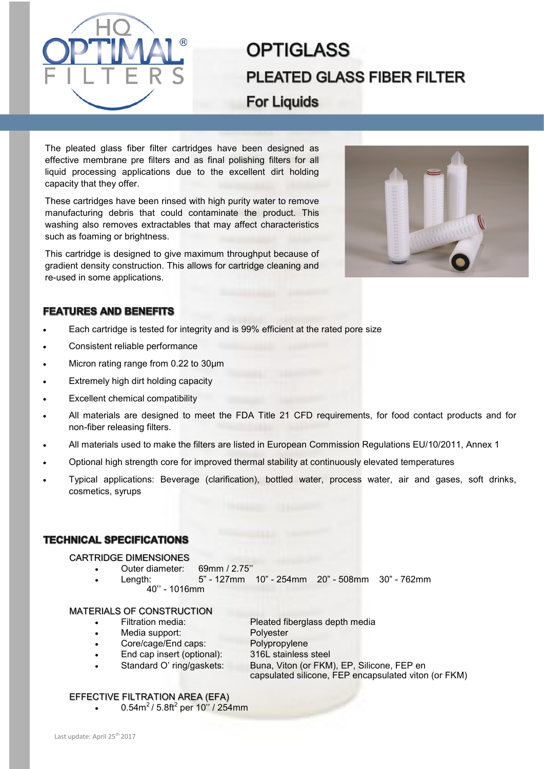

# **OPTIGLASS PLEATED GLASS FIBER FILTER For Liquids**

The pleated glass fiber filter cartridges have been designed as effective membrane pre filters and as final polishing filters for all liquid processing applications due to the excellent dirt holding capacity that they offer.

These cartridges have been rinsed with high purity water to remove manufacturing debris that could contaminate the product. This washing also removes extractables that may affect characteristics such as foaming or brightness.

This cartridge is designed to give maximum throughput because of gradient density construction. This allows for cartridge cleaning and re-used in some applications.



## **FEATURES AND BENEFITS**

- Each cartridge is tested for integrity and is 99% efficient at the rated pore size
- Consistent reliable performance
- Micron rating range from 0.22 to 30µm
- Extremely high dirt holding capacity
- Excellent chemical compatibility
- All materials are designed to meet the FDA Title 21 CFD requirements, for food contact products and for non-fiber releasing filters.
- All materials used to make the filters are listed in European Commission Regulations EU/10/2011, Annex 1
- Optional high strength core for improved thermal stability at continuously elevated temperatures
- Typical applications: Beverage (clarification), bottled water, process water, air and gases, soft drinks, cosmetics, syrups

## **TECHNICAL SPECIFICATIONS**

#### CARTRIDGE DIMENSIONES

- Outer diameter: 69mm / 2.75''
- Length: 5" 127mm 10" 254mm 20" 508mm 30" 762mm 40'' - 1016mm

### MATERIALS OF CONSTRUCTION

- Filtration media: Pleated fiberglass depth media
- Media support: Polyester
- Core/cage/End caps: Polypropylene
- - End cap insert (optional): 316L stainless steel
	-
- Standard O' ring/gaskets: Buna, Viton (or FKM), EP, Silicone, FEP en capsulated silicone, FEP encapsulated viton (or FKM)

#### EFFECTIVE FILTRATION AREA (EFA)

•  $0.54 \text{m}^2 / 5.8 \text{ft}^2$  per 10" / 254mm